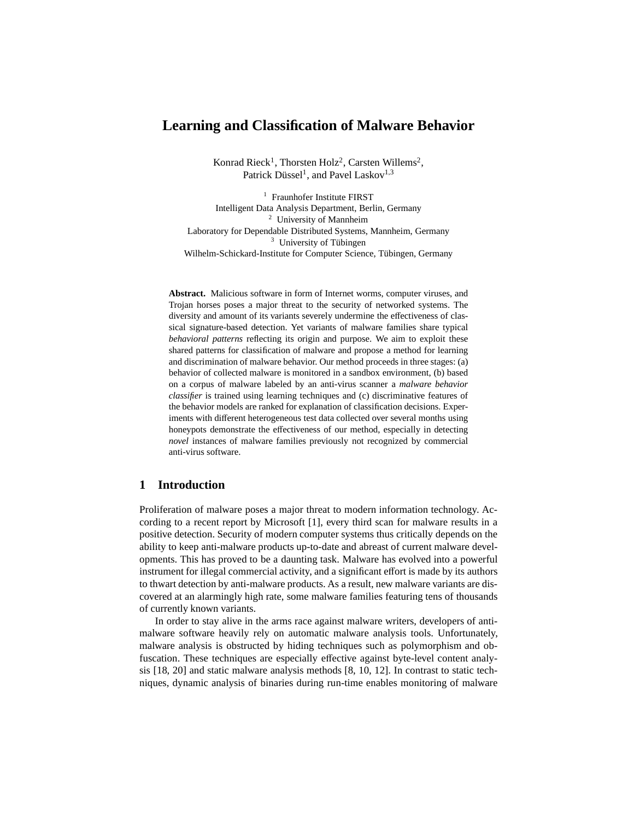# **Learning and Classification of Malware Behavior**

Konrad Rieck<sup>1</sup>, Thorsten Holz<sup>2</sup>, Carsten Willems<sup>2</sup>, Patrick Düssel<sup>1</sup>, and Pavel Laskov<sup>1,3</sup>

<sup>1</sup> Fraunhofer Institute FIRST Intelligent Data Analysis Department, Berlin, Germany <sup>2</sup> University of Mannheim Laboratory for Dependable Distributed Systems, Mannheim, Germany  $3$  University of Tübingen Wilhelm-Schickard-Institute for Computer Science, Tübingen, Germany

**Abstract.** Malicious software in form of Internet worms, computer viruses, and Trojan horses poses a major threat to the security of networked systems. The diversity and amount of its variants severely undermine the effectiveness of classical signature-based detection. Yet variants of malware families share typical *behavioral patterns* reflecting its origin and purpose. We aim to exploit these shared patterns for classification of malware and propose a method for learning and discrimination of malware behavior. Our method proceeds in three stages: (a) behavior of collected malware is monitored in a sandbox environment, (b) based on a corpus of malware labeled by an anti-virus scanner a *malware behavior classifier* is trained using learning techniques and (c) discriminative features of the behavior models are ranked for explanation of classification decisions. Experiments with different heterogeneous test data collected over several months using honeypots demonstrate the effectiveness of our method, especially in detecting *novel* instances of malware families previously not recognized by commercial anti-virus software.

# **1 Introduction**

Proliferation of malware poses a major threat to modern information technology. According to a recent report by Microsoft [1], every third scan for malware results in a positive detection. Security of modern computer systems thus critically depends on the ability to keep anti-malware products up-to-date and abreast of current malware developments. This has proved to be a daunting task. Malware has evolved into a powerful instrument for illegal commercial activity, and a significant effort is made by its authors to thwart detection by anti-malware products. As a result, new malware variants are discovered at an alarmingly high rate, some malware families featuring tens of thousands of currently known variants.

In order to stay alive in the arms race against malware writers, developers of antimalware software heavily rely on automatic malware analysis tools. Unfortunately, malware analysis is obstructed by hiding techniques such as polymorphism and obfuscation. These techniques are especially effective against byte-level content analysis [18, 20] and static malware analysis methods [8, 10, 12]. In contrast to static techniques, dynamic analysis of binaries during run-time enables monitoring of malware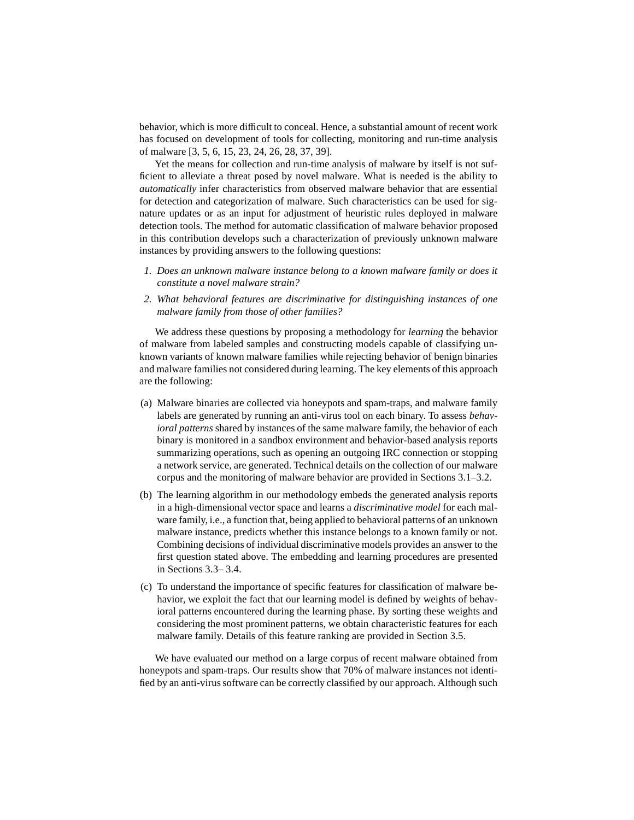behavior, which is more difficult to conceal. Hence, a substantial amount of recent work has focused on development of tools for collecting, monitoring and run-time analysis of malware [3, 5, 6, 15, 23, 24, 26, 28, 37, 39].

Yet the means for collection and run-time analysis of malware by itself is not sufficient to alleviate a threat posed by novel malware. What is needed is the ability to *automatically* infer characteristics from observed malware behavior that are essential for detection and categorization of malware. Such characteristics can be used for signature updates or as an input for adjustment of heuristic rules deployed in malware detection tools. The method for automatic classification of malware behavior proposed in this contribution develops such a characterization of previously unknown malware instances by providing answers to the following questions:

- *1. Does an unknown malware instance belong to a known malware family or does it constitute a novel malware strain?*
- *2. What behavioral features are discriminative for distinguishing instances of one malware family from those of other families?*

We address these questions by proposing a methodology for *learning* the behavior of malware from labeled samples and constructing models capable of classifying unknown variants of known malware families while rejecting behavior of benign binaries and malware families not considered during learning. The key elements of this approach are the following:

- (a) Malware binaries are collected via honeypots and spam-traps, and malware family labels are generated by running an anti-virus tool on each binary. To assess *behavioral patterns* shared by instances of the same malware family, the behavior of each binary is monitored in a sandbox environment and behavior-based analysis reports summarizing operations, such as opening an outgoing IRC connection or stopping a network service, are generated. Technical details on the collection of our malware corpus and the monitoring of malware behavior are provided in Sections 3.1–3.2.
- (b) The learning algorithm in our methodology embeds the generated analysis reports in a high-dimensional vector space and learns a *discriminative model* for each malware family, i.e., a function that, being applied to behavioral patterns of an unknown malware instance, predicts whether this instance belongs to a known family or not. Combining decisions of individual discriminative models provides an answer to the first question stated above. The embedding and learning procedures are presented in Sections 3.3– 3.4.
- (c) To understand the importance of specific features for classification of malware behavior, we exploit the fact that our learning model is defined by weights of behavioral patterns encountered during the learning phase. By sorting these weights and considering the most prominent patterns, we obtain characteristic features for each malware family. Details of this feature ranking are provided in Section 3.5.

We have evaluated our method on a large corpus of recent malware obtained from honeypots and spam-traps. Our results show that 70% of malware instances not identified by an anti-virus software can be correctly classified by our approach. Although such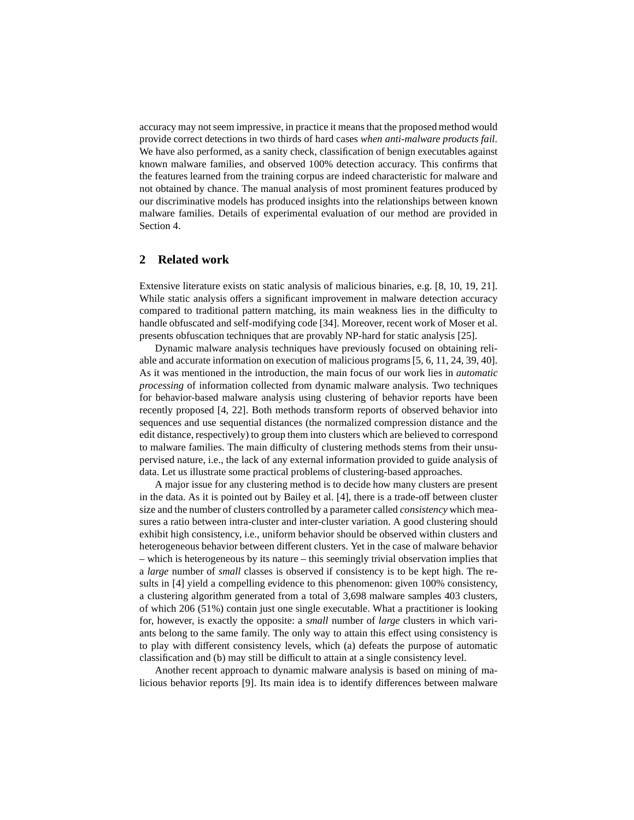accuracy may not seem impressive, in practice it means that the proposed method would provide correct detections in two thirds of hard cases *when anti-malware products fail*. We have also performed, as a sanity check, classification of benign executables against known malware families, and observed 100% detection accuracy. This confirms that the features learned from the training corpus are indeed characteristic for malware and not obtained by chance. The manual analysis of most prominent features produced by our discriminative models has produced insights into the relationships between known malware families. Details of experimental evaluation of our method are provided in Section 4.

### **2 Related work**

Extensive literature exists on static analysis of malicious binaries, e.g. [8, 10, 19, 21]. While static analysis offers a significant improvement in malware detection accuracy compared to traditional pattern matching, its main weakness lies in the difficulty to handle obfuscated and self-modifying code [34]. Moreover, recent work of Moser et al. presents obfuscation techniques that are provably NP-hard for static analysis [25].

Dynamic malware analysis techniques have previously focused on obtaining reliable and accurate information on execution of malicious programs [5, 6, 11, 24, 39, 40]. As it was mentioned in the introduction, the main focus of our work lies in *automatic processing* of information collected from dynamic malware analysis. Two techniques for behavior-based malware analysis using clustering of behavior reports have been recently proposed [4, 22]. Both methods transform reports of observed behavior into sequences and use sequential distances (the normalized compression distance and the edit distance, respectively) to group them into clusters which are believed to correspond to malware families. The main difficulty of clustering methods stems from their unsupervised nature, i.e., the lack of any external information provided to guide analysis of data. Let us illustrate some practical problems of clustering-based approaches.

A major issue for any clustering method is to decide how many clusters are present in the data. As it is pointed out by Bailey et al. [4], there is a trade-off between cluster size and the number of clusters controlled by a parameter called *consistency* which measures a ratio between intra-cluster and inter-cluster variation. A good clustering should exhibit high consistency, i.e., uniform behavior should be observed within clusters and heterogeneous behavior between different clusters. Yet in the case of malware behavior – which is heterogeneous by its nature – this seemingly trivial observation implies that a *large* number of *small* classes is observed if consistency is to be kept high. The results in [4] yield a compelling evidence to this phenomenon: given 100% consistency, a clustering algorithm generated from a total of 3,698 malware samples 403 clusters, of which 206 (51%) contain just one single executable. What a practitioner is looking for, however, is exactly the opposite: a *small* number of *large* clusters in which variants belong to the same family. The only way to attain this effect using consistency is to play with different consistency levels, which (a) defeats the purpose of automatic classification and (b) may still be difficult to attain at a single consistency level.

Another recent approach to dynamic malware analysis is based on mining of malicious behavior reports [9]. Its main idea is to identify differences between malware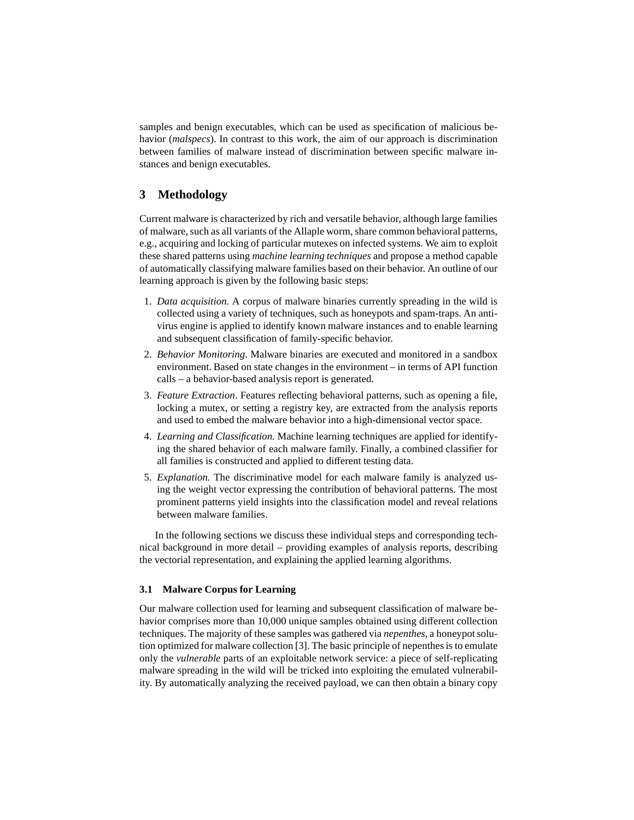samples and benign executables, which can be used as specification of malicious behavior (*malspecs*). In contrast to this work, the aim of our approach is discrimination between families of malware instead of discrimination between specific malware instances and benign executables.

# **3 Methodology**

Current malware is characterized by rich and versatile behavior, although large families of malware, such as all variants of the Allaple worm, share common behavioral patterns, e.g., acquiring and locking of particular mutexes on infected systems. We aim to exploit these shared patterns using *machine learning techniques* and propose a method capable of automatically classifying malware families based on their behavior. An outline of our learning approach is given by the following basic steps:

- 1. *Data acquisition.* A corpus of malware binaries currently spreading in the wild is collected using a variety of techniques, such as honeypots and spam-traps. An antivirus engine is applied to identify known malware instances and to enable learning and subsequent classification of family-specific behavior.
- 2. *Behavior Monitoring*. Malware binaries are executed and monitored in a sandbox environment. Based on state changes in the environment – in terms of API function calls – a behavior-based analysis report is generated.
- 3. *Feature Extraction*. Features reflecting behavioral patterns, such as opening a file, locking a mutex, or setting a registry key, are extracted from the analysis reports and used to embed the malware behavior into a high-dimensional vector space.
- 4. *Learning and Classification.* Machine learning techniques are applied for identifying the shared behavior of each malware family. Finally, a combined classifier for all families is constructed and applied to different testing data.
- 5. *Explanation.* The discriminative model for each malware family is analyzed using the weight vector expressing the contribution of behavioral patterns. The most prominent patterns yield insights into the classification model and reveal relations between malware families.

In the following sections we discuss these individual steps and corresponding technical background in more detail – providing examples of analysis reports, describing the vectorial representation, and explaining the applied learning algorithms.

### **3.1 Malware Corpus for Learning**

Our malware collection used for learning and subsequent classification of malware behavior comprises more than 10,000 unique samples obtained using different collection techniques. The majority of these samples was gathered via *nepenthes*, a honeypot solution optimized for malware collection [3]. The basic principle of nepenthes is to emulate only the *vulnerable* parts of an exploitable network service: a piece of self-replicating malware spreading in the wild will be tricked into exploiting the emulated vulnerability. By automatically analyzing the received payload, we can then obtain a binary copy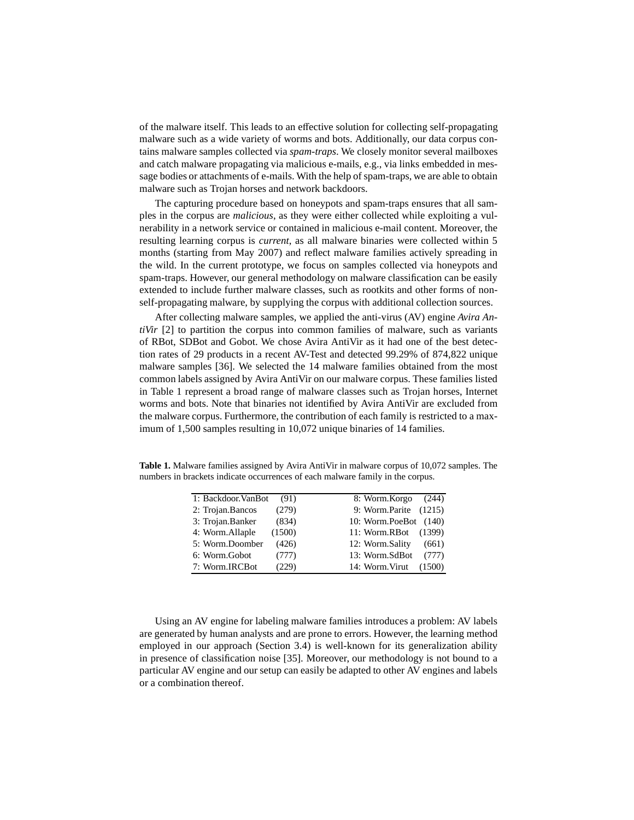of the malware itself. This leads to an effective solution for collecting self-propagating malware such as a wide variety of worms and bots. Additionally, our data corpus contains malware samples collected via *spam-traps*. We closely monitor several mailboxes and catch malware propagating via malicious e-mails, e.g., via links embedded in message bodies or attachments of e-mails. With the help of spam-traps, we are able to obtain malware such as Trojan horses and network backdoors.

The capturing procedure based on honeypots and spam-traps ensures that all samples in the corpus are *malicious*, as they were either collected while exploiting a vulnerability in a network service or contained in malicious e-mail content. Moreover, the resulting learning corpus is *current*, as all malware binaries were collected within 5 months (starting from May 2007) and reflect malware families actively spreading in the wild. In the current prototype, we focus on samples collected via honeypots and spam-traps. However, our general methodology on malware classification can be easily extended to include further malware classes, such as rootkits and other forms of nonself-propagating malware, by supplying the corpus with additional collection sources.

After collecting malware samples, we applied the anti-virus (AV) engine *Avira AntiVir* [2] to partition the corpus into common families of malware, such as variants of RBot, SDBot and Gobot. We chose Avira AntiVir as it had one of the best detection rates of 29 products in a recent AV-Test and detected 99.29% of 874,822 unique malware samples [36]. We selected the 14 malware families obtained from the most common labels assigned by Avira AntiVir on our malware corpus. These families listed in Table 1 represent a broad range of malware classes such as Trojan horses, Internet worms and bots. Note that binaries not identified by Avira AntiVir are excluded from the malware corpus. Furthermore, the contribution of each family is restricted to a maximum of 1,500 samples resulting in 10,072 unique binaries of 14 families.

**Table 1.** Malware families assigned by Avira AntiVir in malware corpus of 10,072 samples. The numbers in brackets indicate occurrences of each malware family in the corpus.

| (91)   | 8: Worm.Korgo         | (244)  |
|--------|-----------------------|--------|
| (279)  | 9: Worm.Parite (1215) |        |
| (834)  | 10: Worm.PoeBot (140) |        |
| (1500) | 11: Worm.RBot         | (1399) |
| (426)  | 12: Worm.Sality       | (661)  |
| (777)  | 13: Worm.SdBot        | (777)  |
| (229)  | 14: Worm. Virut       | (1500) |
|        | 1: Backdoor. VanBot   |        |

Using an AV engine for labeling malware families introduces a problem: AV labels are generated by human analysts and are prone to errors. However, the learning method employed in our approach (Section 3.4) is well-known for its generalization ability in presence of classification noise [35]. Moreover, our methodology is not bound to a particular AV engine and our setup can easily be adapted to other AV engines and labels or a combination thereof.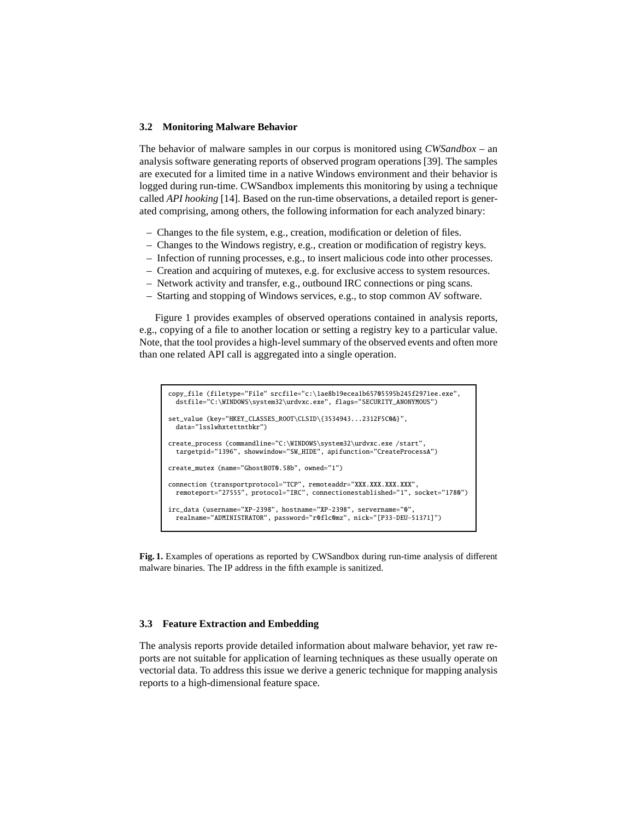#### **3.2 Monitoring Malware Behavior**

The behavior of malware samples in our corpus is monitored using *CWSandbox* – an analysis software generating reports of observed program operations [39]. The samples are executed for a limited time in a native Windows environment and their behavior is logged during run-time. CWSandbox implements this monitoring by using a technique called *API hooking* [14]. Based on the run-time observations, a detailed report is generated comprising, among others, the following information for each analyzed binary:

- Changes to the file system, e.g., creation, modification or deletion of files.
- Changes to the Windows registry, e.g., creation or modification of registry keys.
- Infection of running processes, e.g., to insert malicious code into other processes.
- Creation and acquiring of mutexes, e.g. for exclusive access to system resources.
- Network activity and transfer, e.g., outbound IRC connections or ping scans.
- Starting and stopping of Windows services, e.g., to stop common AV software.

Figure 1 provides examples of observed operations contained in analysis reports, e.g., copying of a file to another location or setting a registry key to a particular value. Note, that the tool provides a high-level summary of the observed events and often more than one related API call is aggregated into a single operation.

```
copy_file (filetype="File" srcfile="c:\1ae8b19ecea1b65705595b245f2971ee.exe",
  dstfile="C:\WINDOWS\system32\urdvxc.exe", flags="SECURITY_ANONYMOUS")
set_value (key="HKEY_CLASSES_ROOT\CLSID\{3534943...2312F5C0&}",
  data="lsslwhxtettntbkr")
create_process (commandline="C:\WINDOWS\system32\urdvxc.exe /start",
  targetpid="1396", showwindow="SW_HIDE", apifunction="CreateProcessA")
create_mutex (name="GhostBOT0.58b", owned="1")
connection (transportprotocol="TCP", remoteaddr="XXX.XXX.XXX.XXX",
  remoteport="27555", protocol="IRC", connectionestablished="1", socket="1780")
irc_data (username="XP-2398", hostname="XP-2398", servername="0",
  realname="ADMINISTRATOR", password="r0flc0mz", nick="[P33-DEU-51371]")
```
**Fig. 1.** Examples of operations as reported by CWSandbox during run-time analysis of different malware binaries. The IP address in the fifth example is sanitized.

### **3.3 Feature Extraction and Embedding**

The analysis reports provide detailed information about malware behavior, yet raw reports are not suitable for application of learning techniques as these usually operate on vectorial data. To address this issue we derive a generic technique for mapping analysis reports to a high-dimensional feature space.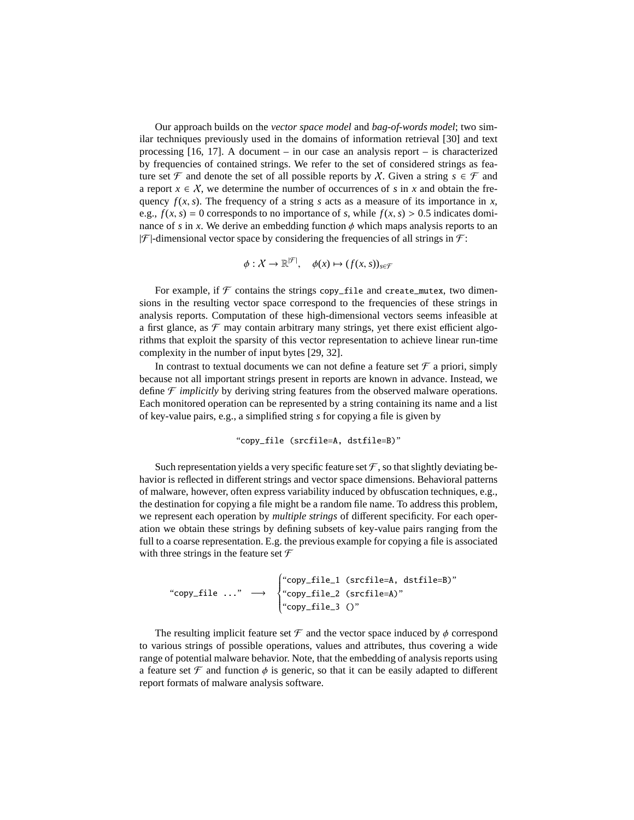Our approach builds on the *vector space model* and *bag-of-words model*; two similar techniques previously used in the domains of information retrieval [30] and text processing  $[16, 17]$ . A document – in our case an analysis report – is characterized by frequencies of contained strings. We refer to the set of considered strings as feature set  $\mathcal F$  and denote the set of all possible reports by X. Given a string  $s \in \mathcal F$  and a report  $x \in X$ , we determine the number of occurrences of *s* in *x* and obtain the frequency  $f(x, s)$ . The frequency of a string *s* acts as a measure of its importance in *x*, e.g.,  $f(x, s) = 0$  corresponds to no importance of *s*, while  $f(x, s) > 0.5$  indicates dominance of *s* in *x*. We derive an embedding function  $\phi$  which maps analysis reports to an  $|\mathcal{F}|$ -dimensional vector space by considering the frequencies of all strings in  $\mathcal{F}$ :

$$
\phi: \mathcal{X} \to \mathbb{R}^{|\mathcal{F}|}, \quad \phi(x) \mapsto (f(x, s))_{s \in \mathcal{F}}
$$

For example, if  $\mathcal F$  contains the strings copy\_file and create\_mutex, two dimensions in the resulting vector space correspond to the frequencies of these strings in analysis reports. Computation of these high-dimensional vectors seems infeasible at a first glance, as  $\mathcal F$  may contain arbitrary many strings, yet there exist efficient algorithms that exploit the sparsity of this vector representation to achieve linear run-time complexity in the number of input bytes [29, 32].

In contrast to textual documents we can not define a feature set  $\mathcal F$  a priori, simply because not all important strings present in reports are known in advance. Instead, we define F *implicitly* by deriving string features from the observed malware operations. Each monitored operation can be represented by a string containing its name and a list of key-value pairs, e.g., a simplified string *s* for copying a file is given by

"copy\_file (srcfile=A, dstfile=B)"

Such representation yields a very specific feature set  $\mathcal F$ , so that slightly deviating behavior is reflected in different strings and vector space dimensions. Behavioral patterns of malware, however, often express variability induced by obfuscation techniques, e.g., the destination for copying a file might be a random file name. To address this problem, we represent each operation by *multiple strings* of different specificity. For each operation we obtain these strings by defining subsets of key-value pairs ranging from the full to a coarse representation. E.g. the previous example for copying a file is associated with three strings in the feature set  $\mathcal F$ 

"copy\_file  $\ldots$ "  $\longrightarrow$  $\begin{cases} \n\end{cases}$  $\overline{\mathcal{L}}$ "copy\_file\_1 (srcfile=A, dstfile=B)" "copy\_file\_2 (srcfile=A)" "copy\_file\_3 ()"

The resulting implicit feature set  $\mathcal F$  and the vector space induced by  $\phi$  correspond to various strings of possible operations, values and attributes, thus covering a wide range of potential malware behavior. Note, that the embedding of analysis reports using a feature set  $\mathcal F$  and function  $\phi$  is generic, so that it can be easily adapted to different report formats of malware analysis software.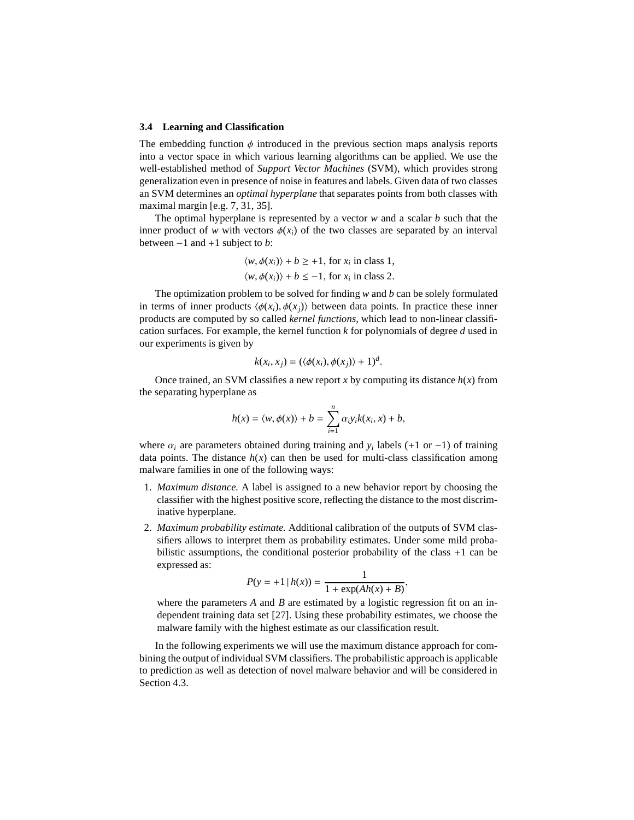#### **3.4 Learning and Classification**

The embedding function  $\phi$  introduced in the previous section maps analysis reports into a vector space in which various learning algorithms can be applied. We use the well-established method of *Support Vector Machines* (SVM), which provides strong generalization even in presence of noise in features and labels. Given data of two classes an SVM determines an *optimal hyperplane* that separates points from both classes with maximal margin [e.g. 7, 31, 35].

The optimal hyperplane is represented by a vector *w* and a scalar *b* such that the inner product of *w* with vectors  $\phi(x_i)$  of the two classes are separated by an interval between −1 and +1 subject to *b*:

$$
\langle w, \phi(x_i) \rangle + b \ge +1
$$
, for  $x_i$  in class 1,  
 $\langle w, \phi(x_i) \rangle + b \le -1$ , for  $x_i$  in class 2.

The optimization problem to be solved for finding *w* and *b* can be solely formulated in terms of inner products  $\langle \phi(x_i), \phi(x_j) \rangle$  between data points. In practice these inner products are computed by so called *kernel functions*, which lead to non-linear classification surfaces. For example, the kernel function *k* for polynomials of degree *d* used in our experiments is given by

$$
k(x_i, x_j) = (\langle \phi(x_i), \phi(x_j) \rangle + 1)^d.
$$

Once trained, an SVM classifies a new report *x* by computing its distance  $h(x)$  from the separating hyperplane as

$$
h(x) = \langle w, \phi(x) \rangle + b = \sum_{i=1}^{n} \alpha_i y_i k(x_i, x) + b,
$$

where  $\alpha_i$  are parameters obtained during training and  $y_i$  labels (+1 or -1) of training data points. The distance  $h(x)$  can then be used for multi-class classification among malware families in one of the following ways:

- 1. *Maximum distance.* A label is assigned to a new behavior report by choosing the classifier with the highest positive score, reflecting the distance to the most discriminative hyperplane.
- 2. *Maximum probability estimate.* Additional calibration of the outputs of SVM classifiers allows to interpret them as probability estimates. Under some mild probabilistic assumptions, the conditional posterior probability of the class +1 can be expressed as:

$$
P(y = +1 | h(x)) = \frac{1}{1 + \exp(Ah(x) + B)},
$$

where the parameters *A* and *B* are estimated by a logistic regression fit on an independent training data set [27]. Using these probability estimates, we choose the malware family with the highest estimate as our classification result.

In the following experiments we will use the maximum distance approach for combining the output of individual SVM classifiers. The probabilistic approach is applicable to prediction as well as detection of novel malware behavior and will be considered in Section 4.3.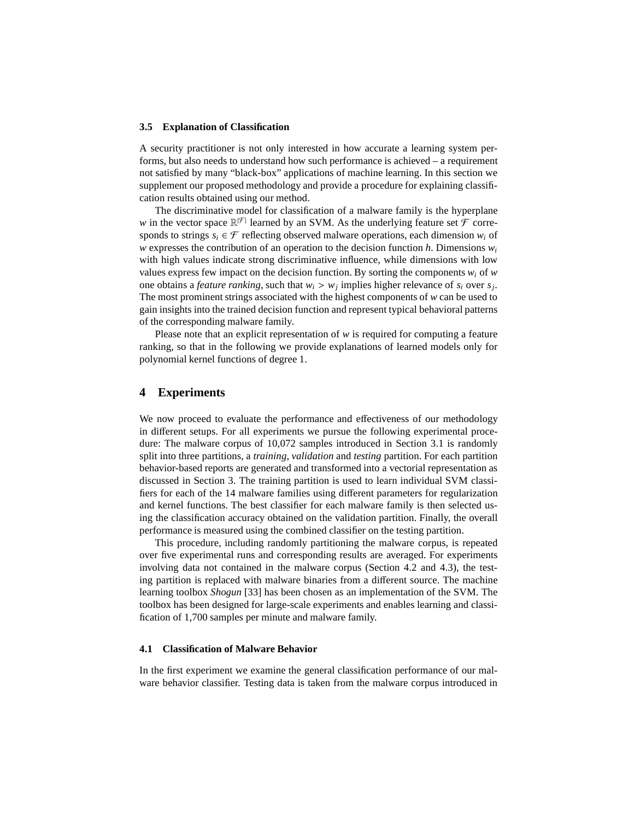#### **3.5 Explanation of Classification**

A security practitioner is not only interested in how accurate a learning system performs, but also needs to understand how such performance is achieved – a requirement not satisfied by many "black-box" applications of machine learning. In this section we supplement our proposed methodology and provide a procedure for explaining classification results obtained using our method.

The discriminative model for classification of a malware family is the hyperplane *w* in the vector space  $\mathbb{R}^{|\mathcal{F}|}$  learned by an SVM. As the underlying feature set  $\mathcal{F}$  corresponds to strings  $s_i \in \mathcal{F}$  reflecting observed malware operations, each dimension  $w_i$  of *w* expresses the contribution of an operation to the decision function *h*. Dimensions  $w_i$ with high values indicate strong discriminative influence, while dimensions with low values express few impact on the decision function. By sorting the components  $w_i$  of  $w$ one obtains a *feature ranking*, such that  $w_i > w_j$  implies higher relevance of  $s_i$  over  $s_j$ . The most prominent strings associated with the highest components of *w* can be used to gain insights into the trained decision function and represent typical behavioral patterns of the corresponding malware family.

Please note that an explicit representation of *w* is required for computing a feature ranking, so that in the following we provide explanations of learned models only for polynomial kernel functions of degree 1.

# **4 Experiments**

We now proceed to evaluate the performance and effectiveness of our methodology in different setups. For all experiments we pursue the following experimental procedure: The malware corpus of 10,072 samples introduced in Section 3.1 is randomly split into three partitions, a *training*, *validation* and *testing* partition. For each partition behavior-based reports are generated and transformed into a vectorial representation as discussed in Section 3. The training partition is used to learn individual SVM classifiers for each of the 14 malware families using different parameters for regularization and kernel functions. The best classifier for each malware family is then selected using the classification accuracy obtained on the validation partition. Finally, the overall performance is measured using the combined classifier on the testing partition.

This procedure, including randomly partitioning the malware corpus, is repeated over five experimental runs and corresponding results are averaged. For experiments involving data not contained in the malware corpus (Section 4.2 and 4.3), the testing partition is replaced with malware binaries from a different source. The machine learning toolbox *Shogun* [33] has been chosen as an implementation of the SVM. The toolbox has been designed for large-scale experiments and enables learning and classification of 1,700 samples per minute and malware family.

## **4.1 Classification of Malware Behavior**

In the first experiment we examine the general classification performance of our malware behavior classifier. Testing data is taken from the malware corpus introduced in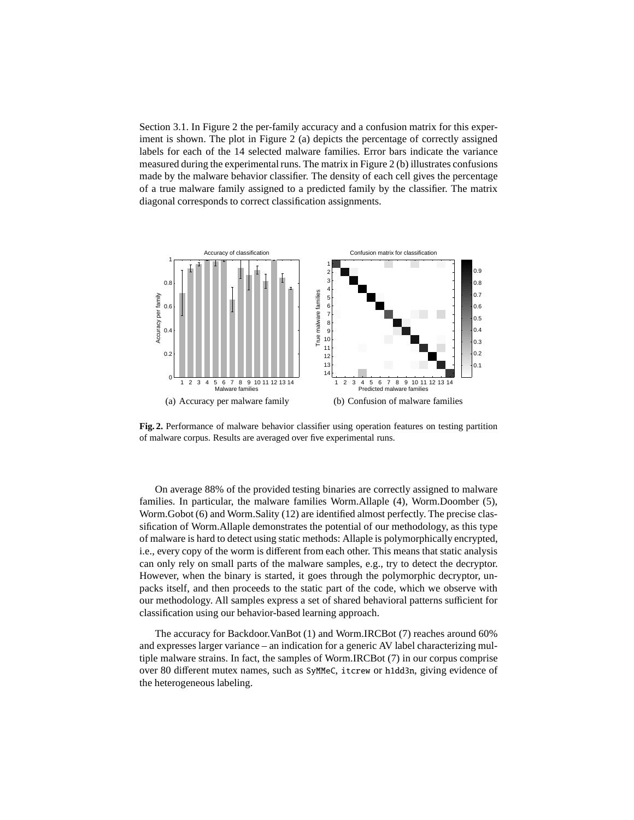Section 3.1. In Figure 2 the per-family accuracy and a confusion matrix for this experiment is shown. The plot in Figure 2 (a) depicts the percentage of correctly assigned labels for each of the 14 selected malware families. Error bars indicate the variance measured during the experimental runs. The matrix in Figure 2 (b) illustrates confusions made by the malware behavior classifier. The density of each cell gives the percentage of a true malware family assigned to a predicted family by the classifier. The matrix diagonal corresponds to correct classification assignments.



**Fig. 2.** Performance of malware behavior classifier using operation features on testing partition of malware corpus. Results are averaged over five experimental runs.

On average 88% of the provided testing binaries are correctly assigned to malware families. In particular, the malware families Worm.Allaple (4), Worm.Doomber (5), Worm.Gobot (6) and Worm.Sality (12) are identified almost perfectly. The precise classification of Worm.Allaple demonstrates the potential of our methodology, as this type of malware is hard to detect using static methods: Allaple is polymorphically encrypted, i.e., every copy of the worm is different from each other. This means that static analysis can only rely on small parts of the malware samples, e.g., try to detect the decryptor. However, when the binary is started, it goes through the polymorphic decryptor, unpacks itself, and then proceeds to the static part of the code, which we observe with our methodology. All samples express a set of shared behavioral patterns sufficient for classification using our behavior-based learning approach.

The accuracy for Backdoor.VanBot (1) and Worm.IRCBot (7) reaches around 60% and expresses larger variance – an indication for a generic AV label characterizing multiple malware strains. In fact, the samples of Worm.IRCBot (7) in our corpus comprise over 80 different mutex names, such as SyMMeC, itcrew or h1dd3n, giving evidence of the heterogeneous labeling.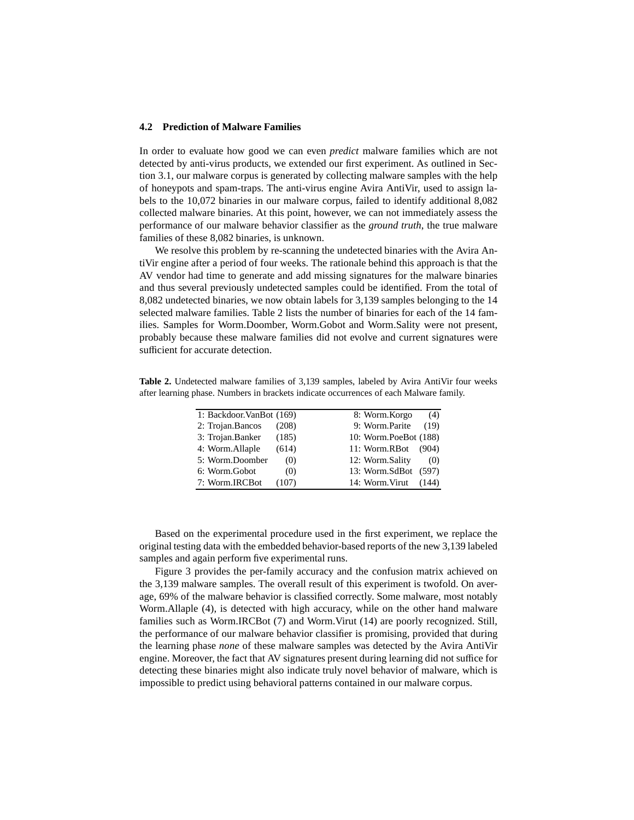#### **4.2 Prediction of Malware Families**

In order to evaluate how good we can even *predict* malware families which are not detected by anti-virus products, we extended our first experiment. As outlined in Section 3.1, our malware corpus is generated by collecting malware samples with the help of honeypots and spam-traps. The anti-virus engine Avira AntiVir, used to assign labels to the 10,072 binaries in our malware corpus, failed to identify additional 8,082 collected malware binaries. At this point, however, we can not immediately assess the performance of our malware behavior classifier as the *ground truth*, the true malware families of these 8,082 binaries, is unknown.

We resolve this problem by re-scanning the undetected binaries with the Avira AntiVir engine after a period of four weeks. The rationale behind this approach is that the AV vendor had time to generate and add missing signatures for the malware binaries and thus several previously undetected samples could be identified. From the total of 8,082 undetected binaries, we now obtain labels for 3,139 samples belonging to the 14 selected malware families. Table 2 lists the number of binaries for each of the 14 families. Samples for Worm.Doomber, Worm.Gobot and Worm.Sality were not present, probably because these malware families did not evolve and current signatures were sufficient for accurate detection.

**Table 2.** Undetected malware families of 3,139 samples, labeled by Avira AntiVir four weeks after learning phase. Numbers in brackets indicate occurrences of each Malware family.

| 1: Backdoor. VanBot (169) |       | 8: Worm.Korgo         | (4)   |
|---------------------------|-------|-----------------------|-------|
| 2: Trojan.Bancos          | (208) | 9: Worm.Parite        | (19)  |
| 3: Trojan.Banker          | (185) | 10: Worm.PoeBot (188) |       |
| 4: Worm.Allaple           | (614) | 11: Worm.RBot         | (904) |
| 5: Worm.Doomber           | (0)   | 12: Worm.Sality       | (0)   |
| 6: Worm.Gobot             | (0)   | 13: Worm.SdBot (597)  |       |
| 7: Worm.IRCBot            | (107) | 14: Worm. Virut       | (144) |

Based on the experimental procedure used in the first experiment, we replace the original testing data with the embedded behavior-based reports of the new 3,139 labeled samples and again perform five experimental runs.

Figure 3 provides the per-family accuracy and the confusion matrix achieved on the 3,139 malware samples. The overall result of this experiment is twofold. On average, 69% of the malware behavior is classified correctly. Some malware, most notably Worm.Allaple (4), is detected with high accuracy, while on the other hand malware families such as Worm.IRCBot (7) and Worm.Virut (14) are poorly recognized. Still, the performance of our malware behavior classifier is promising, provided that during the learning phase *none* of these malware samples was detected by the Avira AntiVir engine. Moreover, the fact that AV signatures present during learning did not suffice for detecting these binaries might also indicate truly novel behavior of malware, which is impossible to predict using behavioral patterns contained in our malware corpus.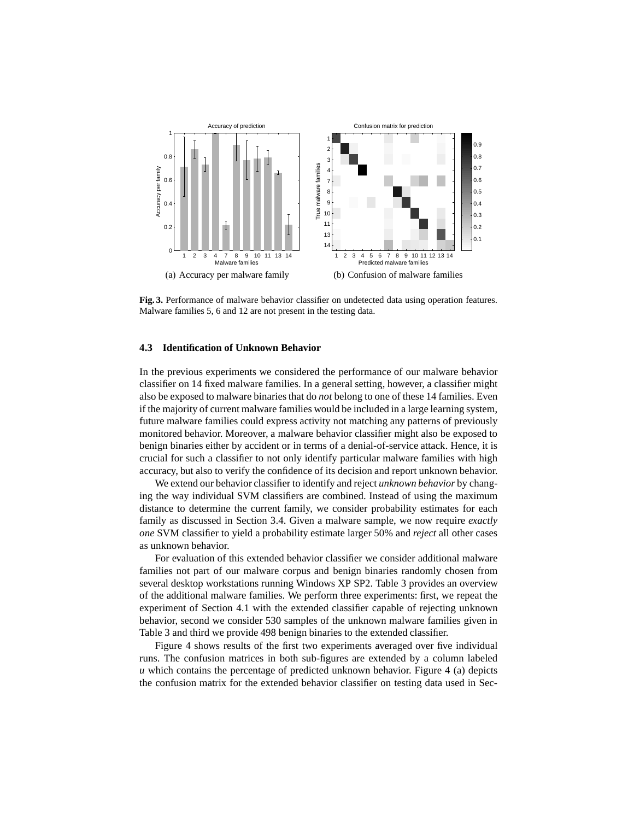

**Fig. 3.** Performance of malware behavior classifier on undetected data using operation features. Malware families 5, 6 and 12 are not present in the testing data.

### **4.3 Identification of Unknown Behavior**

In the previous experiments we considered the performance of our malware behavior classifier on 14 fixed malware families. In a general setting, however, a classifier might also be exposed to malware binaries that do *not* belong to one of these 14 families. Even if the majority of current malware families would be included in a large learning system, future malware families could express activity not matching any patterns of previously monitored behavior. Moreover, a malware behavior classifier might also be exposed to benign binaries either by accident or in terms of a denial-of-service attack. Hence, it is crucial for such a classifier to not only identify particular malware families with high accuracy, but also to verify the confidence of its decision and report unknown behavior.

We extend our behavior classifier to identify and reject *unknown behavior* by changing the way individual SVM classifiers are combined. Instead of using the maximum distance to determine the current family, we consider probability estimates for each family as discussed in Section 3.4. Given a malware sample, we now require *exactly one* SVM classifier to yield a probability estimate larger 50% and *reject* all other cases as unknown behavior.

For evaluation of this extended behavior classifier we consider additional malware families not part of our malware corpus and benign binaries randomly chosen from several desktop workstations running Windows XP SP2. Table 3 provides an overview of the additional malware families. We perform three experiments: first, we repeat the experiment of Section 4.1 with the extended classifier capable of rejecting unknown behavior, second we consider 530 samples of the unknown malware families given in Table 3 and third we provide 498 benign binaries to the extended classifier.

Figure 4 shows results of the first two experiments averaged over five individual runs. The confusion matrices in both sub-figures are extended by a column labeled *u* which contains the percentage of predicted unknown behavior. Figure 4 (a) depicts the confusion matrix for the extended behavior classifier on testing data used in Sec-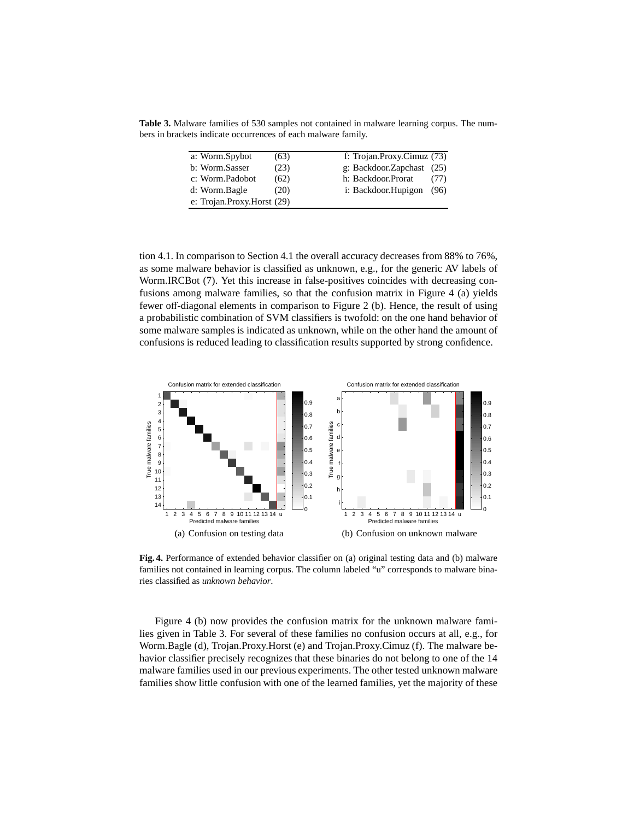**Table 3.** Malware families of 530 samples not contained in malware learning corpus. The numbers in brackets indicate occurrences of each malware family.

| a: Worm.Spybot             | (63) | f: Trojan.Proxy.Cimuz (73) |      |
|----------------------------|------|----------------------------|------|
| b: Worm.Sasser             | (23) | g: Backdoor.Zapchast (25)  |      |
| c: Worm.Padobot            | (62) | h: Backdoor.Prorat         | (77) |
| d: Worm.Bagle              | (20) | i: Backdoor.Hupigon        | (96) |
| e: Trojan.Proxy.Horst (29) |      |                            |      |

tion 4.1. In comparison to Section 4.1 the overall accuracy decreases from 88% to 76%, as some malware behavior is classified as unknown, e.g., for the generic AV labels of Worm.IRCBot (7). Yet this increase in false-positives coincides with decreasing confusions among malware families, so that the confusion matrix in Figure 4 (a) yields fewer off-diagonal elements in comparison to Figure 2 (b). Hence, the result of using a probabilistic combination of SVM classifiers is twofold: on the one hand behavior of some malware samples is indicated as unknown, while on the other hand the amount of confusions is reduced leading to classification results supported by strong confidence.



**Fig. 4.** Performance of extended behavior classifier on (a) original testing data and (b) malware families not contained in learning corpus. The column labeled "u" corresponds to malware binaries classified as *unknown behavior*.

Figure 4 (b) now provides the confusion matrix for the unknown malware families given in Table 3. For several of these families no confusion occurs at all, e.g., for Worm.Bagle (d), Trojan.Proxy.Horst (e) and Trojan.Proxy.Cimuz (f). The malware behavior classifier precisely recognizes that these binaries do not belong to one of the 14 malware families used in our previous experiments. The other tested unknown malware families show little confusion with one of the learned families, yet the majority of these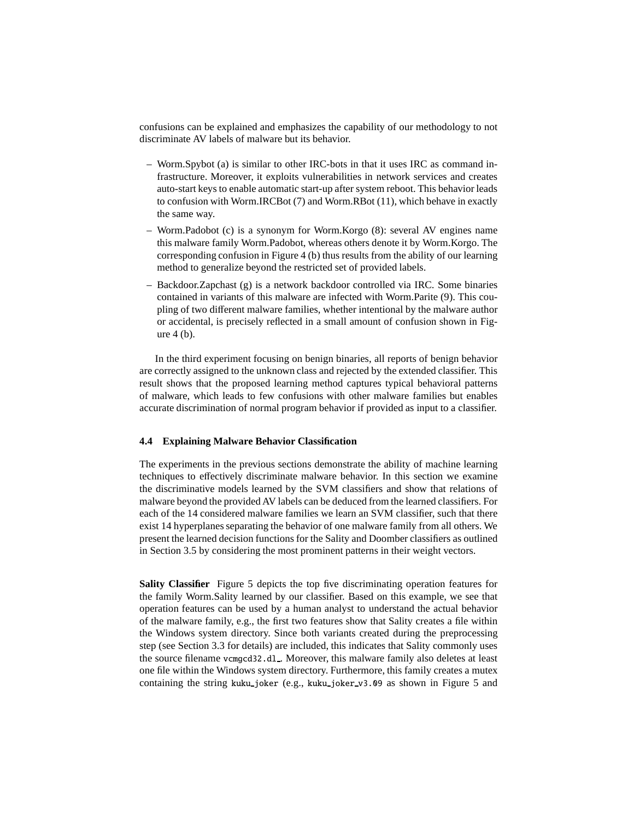confusions can be explained and emphasizes the capability of our methodology to not discriminate AV labels of malware but its behavior.

- Worm.Spybot (a) is similar to other IRC-bots in that it uses IRC as command infrastructure. Moreover, it exploits vulnerabilities in network services and creates auto-start keys to enable automatic start-up after system reboot. This behavior leads to confusion with Worm.IRCBot (7) and Worm.RBot (11), which behave in exactly the same way.
- Worm.Padobot (c) is a synonym for Worm.Korgo (8): several AV engines name this malware family Worm.Padobot, whereas others denote it by Worm.Korgo. The corresponding confusion in Figure 4 (b) thus results from the ability of our learning method to generalize beyond the restricted set of provided labels.
- Backdoor.Zapchast (g) is a network backdoor controlled via IRC. Some binaries contained in variants of this malware are infected with Worm.Parite (9). This coupling of two different malware families, whether intentional by the malware author or accidental, is precisely reflected in a small amount of confusion shown in Figure 4 (b).

In the third experiment focusing on benign binaries, all reports of benign behavior are correctly assigned to the unknown class and rejected by the extended classifier. This result shows that the proposed learning method captures typical behavioral patterns of malware, which leads to few confusions with other malware families but enables accurate discrimination of normal program behavior if provided as input to a classifier.

#### **4.4 Explaining Malware Behavior Classification**

The experiments in the previous sections demonstrate the ability of machine learning techniques to effectively discriminate malware behavior. In this section we examine the discriminative models learned by the SVM classifiers and show that relations of malware beyond the provided AV labels can be deduced from the learned classifiers. For each of the 14 considered malware families we learn an SVM classifier, such that there exist 14 hyperplanes separating the behavior of one malware family from all others. We present the learned decision functions for the Sality and Doomber classifiers as outlined in Section 3.5 by considering the most prominent patterns in their weight vectors.

**Sality Classifier** Figure 5 depicts the top five discriminating operation features for the family Worm.Sality learned by our classifier. Based on this example, we see that operation features can be used by a human analyst to understand the actual behavior of the malware family, e.g., the first two features show that Sality creates a file within the Windows system directory. Since both variants created during the preprocessing step (see Section 3.3 for details) are included, this indicates that Sality commonly uses the source filename vcmgcd32.dl ... Moreover, this malware family also deletes at least one file within the Windows system directory. Furthermore, this family creates a mutex containing the string kuku joker (e.g., kuku joker v3.09 as shown in Figure 5 and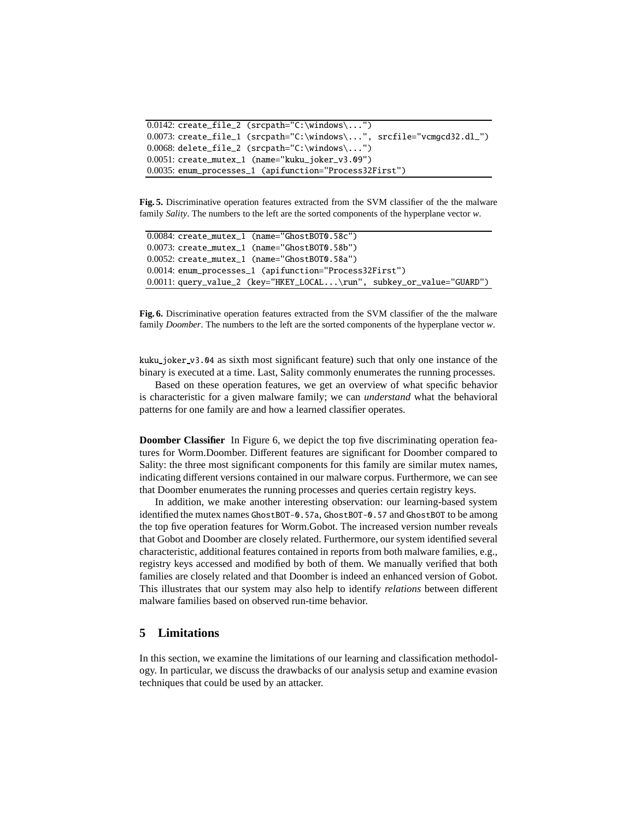```
0.0142: create_file_2 (srcpath="C:\windows\...
0.0073: create_file_1 (srcpath="C:\windows\...", srcfile="vcmgcd32.dl_")
0.0068: delete_file_2 (srcpath="C:\windows\...")
0.0051: create_mutex_1 (name="kuku_joker_v3.09")
0.0035: enum_processes_1 (apifunction="Process32First")
```
**Fig. 5.** Discriminative operation features extracted from the SVM classifier of the the malware family *Sality*. The numbers to the left are the sorted components of the hyperplane vector *w*.

```
0.0084: create_mutex_1 (name="GhostBOT0.58c")
0.0073: create_mutex_1 (name="GhostBOT0.58b")
0.0052: create_mutex_1 (name="GhostBOT0.58a")
0.0014: enum_processes_1 (apifunction="Process32First")
0.0011: query_value_2 (key="HKEY_LOCAL...\run", subkey_or_value="GUARD")
```
**Fig. 6.** Discriminative operation features extracted from the SVM classifier of the the malware family *Doomber*. The numbers to the left are the sorted components of the hyperplane vector *w*.

kuku joker v3.04 as sixth most significant feature) such that only one instance of the binary is executed at a time. Last, Sality commonly enumerates the running processes.

Based on these operation features, we get an overview of what specific behavior is characteristic for a given malware family; we can *understand* what the behavioral patterns for one family are and how a learned classifier operates.

**Doomber Classifier** In Figure 6, we depict the top five discriminating operation features for Worm.Doomber. Different features are significant for Doomber compared to Sality: the three most significant components for this family are similar mutex names, indicating different versions contained in our malware corpus. Furthermore, we can see that Doomber enumerates the running processes and queries certain registry keys.

In addition, we make another interesting observation: our learning-based system identified the mutex names GhostBOT-0.57a, GhostBOT-0.57 and GhostBOT to be among the top five operation features for Worm.Gobot. The increased version number reveals that Gobot and Doomber are closely related. Furthermore, our system identified several characteristic, additional features contained in reports from both malware families, e.g., registry keys accessed and modified by both of them. We manually verified that both families are closely related and that Doomber is indeed an enhanced version of Gobot. This illustrates that our system may also help to identify *relations* between different malware families based on observed run-time behavior.

## **5 Limitations**

In this section, we examine the limitations of our learning and classification methodology. In particular, we discuss the drawbacks of our analysis setup and examine evasion techniques that could be used by an attacker.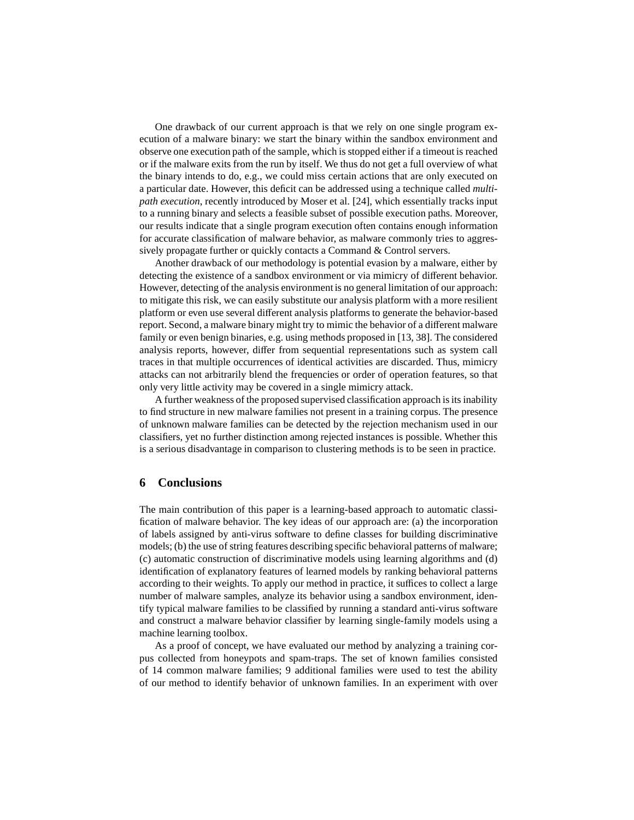One drawback of our current approach is that we rely on one single program execution of a malware binary: we start the binary within the sandbox environment and observe one execution path of the sample, which is stopped either if a timeout is reached or if the malware exits from the run by itself. We thus do not get a full overview of what the binary intends to do, e.g., we could miss certain actions that are only executed on a particular date. However, this deficit can be addressed using a technique called *multipath execution*, recently introduced by Moser et al. [24], which essentially tracks input to a running binary and selects a feasible subset of possible execution paths. Moreover, our results indicate that a single program execution often contains enough information for accurate classification of malware behavior, as malware commonly tries to aggressively propagate further or quickly contacts a Command & Control servers.

Another drawback of our methodology is potential evasion by a malware, either by detecting the existence of a sandbox environment or via mimicry of different behavior. However, detecting of the analysis environment is no general limitation of our approach: to mitigate this risk, we can easily substitute our analysis platform with a more resilient platform or even use several different analysis platforms to generate the behavior-based report. Second, a malware binary might try to mimic the behavior of a different malware family or even benign binaries, e.g. using methods proposed in [13, 38]. The considered analysis reports, however, differ from sequential representations such as system call traces in that multiple occurrences of identical activities are discarded. Thus, mimicry attacks can not arbitrarily blend the frequencies or order of operation features, so that only very little activity may be covered in a single mimicry attack.

A further weakness of the proposed supervised classification approach is its inability to find structure in new malware families not present in a training corpus. The presence of unknown malware families can be detected by the rejection mechanism used in our classifiers, yet no further distinction among rejected instances is possible. Whether this is a serious disadvantage in comparison to clustering methods is to be seen in practice.

### **6 Conclusions**

The main contribution of this paper is a learning-based approach to automatic classification of malware behavior. The key ideas of our approach are: (a) the incorporation of labels assigned by anti-virus software to define classes for building discriminative models; (b) the use of string features describing specific behavioral patterns of malware; (c) automatic construction of discriminative models using learning algorithms and (d) identification of explanatory features of learned models by ranking behavioral patterns according to their weights. To apply our method in practice, it suffices to collect a large number of malware samples, analyze its behavior using a sandbox environment, identify typical malware families to be classified by running a standard anti-virus software and construct a malware behavior classifier by learning single-family models using a machine learning toolbox.

As a proof of concept, we have evaluated our method by analyzing a training corpus collected from honeypots and spam-traps. The set of known families consisted of 14 common malware families; 9 additional families were used to test the ability of our method to identify behavior of unknown families. In an experiment with over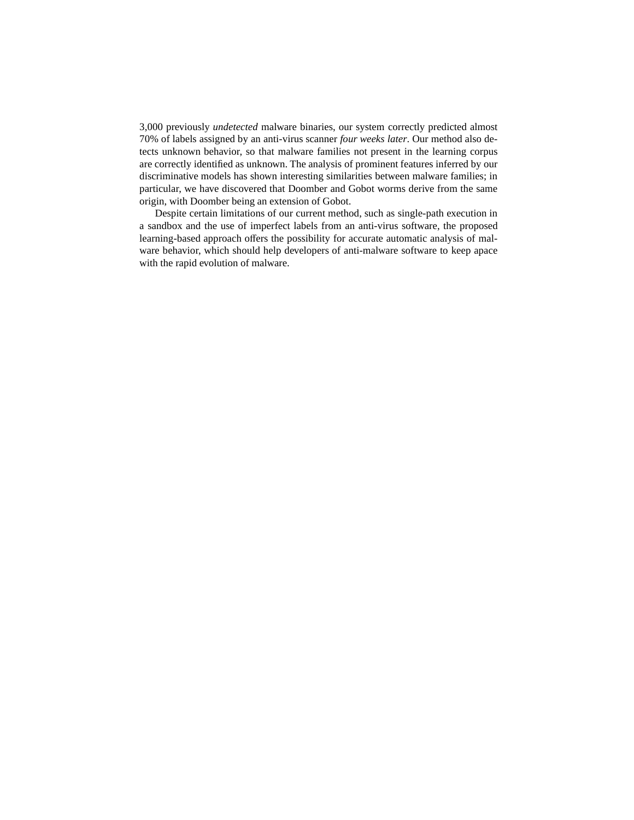3,000 previously *undetected* malware binaries, our system correctly predicted almost 70% of labels assigned by an anti-virus scanner *four weeks later*. Our method also detects unknown behavior, so that malware families not present in the learning corpus are correctly identified as unknown. The analysis of prominent features inferred by our discriminative models has shown interesting similarities between malware families; in particular, we have discovered that Doomber and Gobot worms derive from the same origin, with Doomber being an extension of Gobot.

Despite certain limitations of our current method, such as single-path execution in a sandbox and the use of imperfect labels from an anti-virus software, the proposed learning-based approach offers the possibility for accurate automatic analysis of malware behavior, which should help developers of anti-malware software to keep apace with the rapid evolution of malware.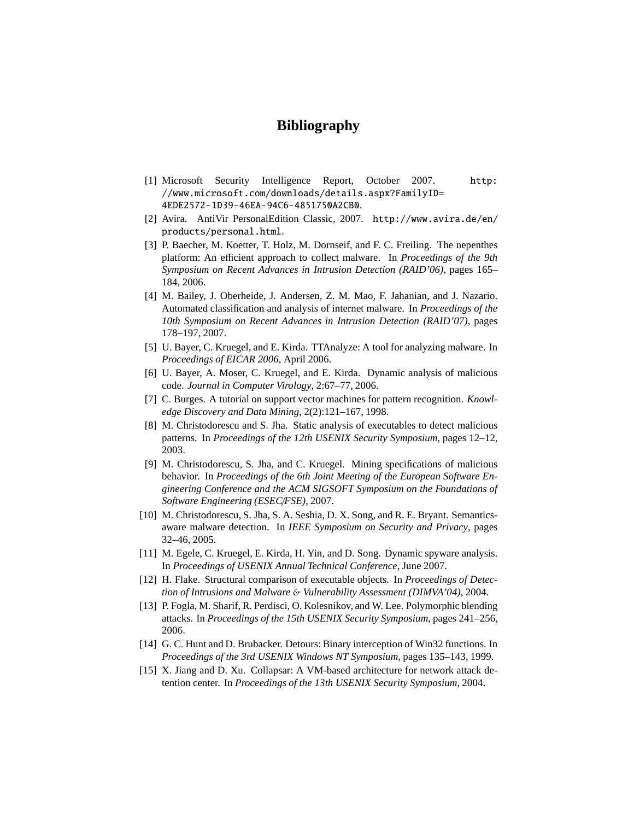# **Bibliography**

- [1] Microsoft Security Intelligence Report, October 2007. http: //www.microsoft.com/downloads/details.aspx?FamilyID= 4EDE2572-1D39-46EA-94C6-4851750A2CB0.
- [2] Avira. AntiVir PersonalEdition Classic, 2007. http://www.avira.de/en/ products/personal.html.
- [3] P. Baecher, M. Koetter, T. Holz, M. Dornseif, and F. C. Freiling. The nepenthes platform: An efficient approach to collect malware. In *Proceedings of the 9th Symposium on Recent Advances in Intrusion Detection (RAID'06)*, pages 165– 184, 2006.
- [4] M. Bailey, J. Oberheide, J. Andersen, Z. M. Mao, F. Jahanian, and J. Nazario. Automated classification and analysis of internet malware. In *Proceedings of the 10th Symposium on Recent Advances in Intrusion Detection (RAID'07)*, pages 178–197, 2007.
- [5] U. Bayer, C. Kruegel, and E. Kirda. TTAnalyze: A tool for analyzing malware. In *Proceedings of EICAR 2006*, April 2006.
- [6] U. Bayer, A. Moser, C. Kruegel, and E. Kirda. Dynamic analysis of malicious code. *Journal in Computer Virology*, 2:67–77, 2006.
- [7] C. Burges. A tutorial on support vector machines for pattern recognition. *Knowledge Discovery and Data Mining*, 2(2):121–167, 1998.
- [8] M. Christodorescu and S. Jha. Static analysis of executables to detect malicious patterns. In *Proceedings of the 12th USENIX Security Symposium*, pages 12–12, 2003.
- [9] M. Christodorescu, S. Jha, and C. Kruegel. Mining specifications of malicious behavior. In *Proceedings of the 6th Joint Meeting of the European Software Engineering Conference and the ACM SIGSOFT Symposium on the Foundations of Software Engineering (ESEC*/*FSE)*, 2007.
- [10] M. Christodorescu, S. Jha, S. A. Seshia, D. X. Song, and R. E. Bryant. Semanticsaware malware detection. In *IEEE Symposium on Security and Privacy*, pages 32–46, 2005.
- [11] M. Egele, C. Kruegel, E. Kirda, H. Yin, and D. Song. Dynamic spyware analysis. In *Proceedings of USENIX Annual Technical Conference*, June 2007.
- [12] H. Flake. Structural comparison of executable objects. In *Proceedings of Detection of Intrusions and Malware* & *Vulnerability Assessment (DIMVA'04)*, 2004.
- [13] P. Fogla, M. Sharif, R. Perdisci, O. Kolesnikov, and W. Lee. Polymorphic blending attacks. In *Proceedings of the 15th USENIX Security Symposium*, pages 241–256, 2006.
- [14] G. C. Hunt and D. Brubacker. Detours: Binary interception of Win32 functions. In *Proceedings of the 3rd USENIX Windows NT Symposium*, pages 135–143, 1999.
- [15] X. Jiang and D. Xu. Collapsar: A VM-based architecture for network attack detention center. In *Proceedings of the 13th USENIX Security Symposium*, 2004.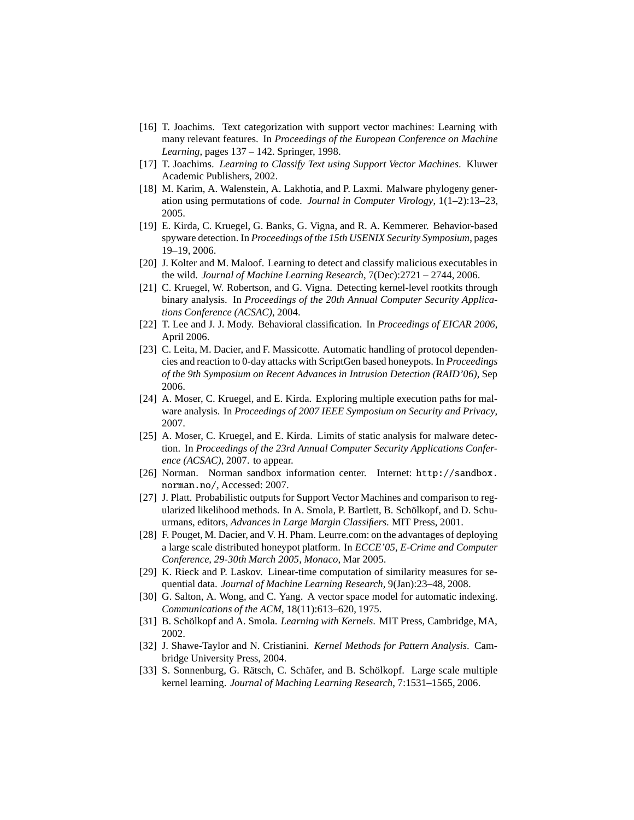- [16] T. Joachims. Text categorization with support vector machines: Learning with many relevant features. In *Proceedings of the European Conference on Machine Learning*, pages 137 – 142. Springer, 1998.
- [17] T. Joachims. *Learning to Classify Text using Support Vector Machines*. Kluwer Academic Publishers, 2002.
- [18] M. Karim, A. Walenstein, A. Lakhotia, and P. Laxmi. Malware phylogeny generation using permutations of code. *Journal in Computer Virology*, 1(1–2):13–23, 2005.
- [19] E. Kirda, C. Kruegel, G. Banks, G. Vigna, and R. A. Kemmerer. Behavior-based spyware detection. In *Proceedings of the 15th USENIX Security Symposium*, pages 19–19, 2006.
- [20] J. Kolter and M. Maloof. Learning to detect and classify malicious executables in the wild. *Journal of Machine Learning Research*, 7(Dec):2721 – 2744, 2006.
- [21] C. Kruegel, W. Robertson, and G. Vigna. Detecting kernel-level rootkits through binary analysis. In *Proceedings of the 20th Annual Computer Security Applications Conference (ACSAC)*, 2004.
- [22] T. Lee and J. J. Mody. Behavioral classification. In *Proceedings of EICAR 2006*, April 2006.
- [23] C. Leita, M. Dacier, and F. Massicotte. Automatic handling of protocol dependencies and reaction to 0-day attacks with ScriptGen based honeypots. In *Proceedings of the 9th Symposium on Recent Advances in Intrusion Detection (RAID'06)*, Sep 2006.
- [24] A. Moser, C. Kruegel, and E. Kirda. Exploring multiple execution paths for malware analysis. In *Proceedings of 2007 IEEE Symposium on Security and Privacy*, 2007.
- [25] A. Moser, C. Kruegel, and E. Kirda. Limits of static analysis for malware detection. In *Proceedings of the 23rd Annual Computer Security Applications Conference (ACSAC)*, 2007. to appear.
- [26] Norman. Norman sandbox information center. Internet: http://sandbox. norman.no/, Accessed: 2007.
- [27] J. Platt. Probabilistic outputs for Support Vector Machines and comparison to regularized likelihood methods. In A. Smola, P. Bartlett, B. Schölkopf, and D. Schuurmans, editors, *Advances in Large Margin Classifiers*. MIT Press, 2001.
- [28] F. Pouget, M. Dacier, and V. H. Pham. Leurre.com: on the advantages of deploying a large scale distributed honeypot platform. In *ECCE'05, E-Crime and Computer Conference, 29-30th March 2005, Monaco*, Mar 2005.
- [29] K. Rieck and P. Laskov. Linear-time computation of similarity measures for sequential data. *Journal of Machine Learning Research*, 9(Jan):23–48, 2008.
- [30] G. Salton, A. Wong, and C. Yang. A vector space model for automatic indexing. *Communications of the ACM*, 18(11):613–620, 1975.
- [31] B. Schölkopf and A. Smola. *Learning with Kernels*. MIT Press, Cambridge, MA, 2002.
- [32] J. Shawe-Taylor and N. Cristianini. *Kernel Methods for Pattern Analysis*. Cambridge University Press, 2004.
- [33] S. Sonnenburg, G. Rätsch, C. Schäfer, and B. Schölkopf. Large scale multiple kernel learning. *Journal of Maching Learning Research*, 7:1531–1565, 2006.